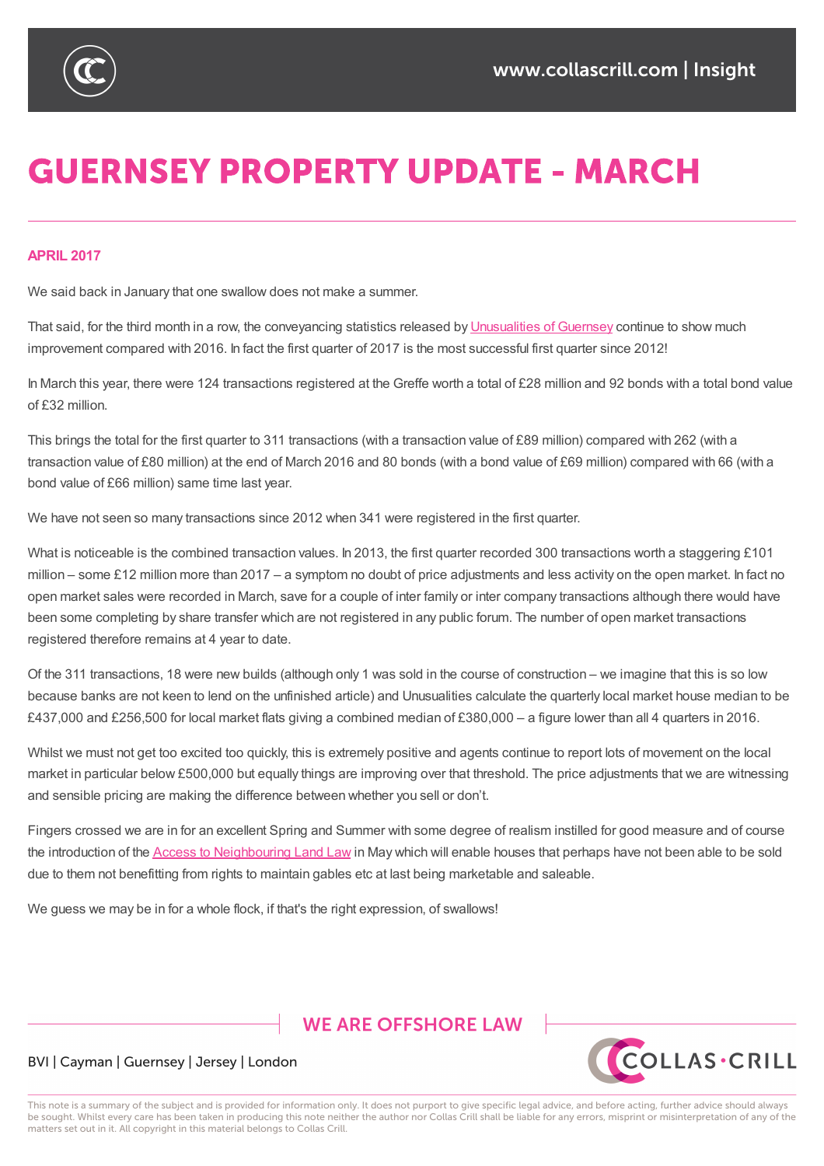

# **GUERNSEY PROPERTY UPDATE - MARCH**

## **APRIL 2017**

We said back in January that one swallow does not make a summer.

That said, for the third month in a row, the conveyancing statistics released by Unusualities of Guernsey continue to show much improvement compared with 2016. In fact the first quarter of 2017 is the most successful first quarter since 2012!

In March this year, there were 124 transactions registered at the Greffe worth a total of £28 [million](https://sites-collascrill.vuturevx.com/email_handler.aspx?sid=blankform&redirect=http%3A%2F%2Fwww.guernseypropertyprices.com%2FInformation.aspx) and 92 bonds with a total bond value of £32 million.

This brings the total for the first quarter to 311 transactions (with a transaction value of £89 million) compared with 262 (with a transaction value of £80 million) at the end of March 2016 and 80 bonds (with a bond value of £69 million) compared with 66 (with a bond value of £66 million) same time last year.

We have not seen so many transactions since 2012 when 341 were registered in the first quarter.

What is noticeable is the combined transaction values. In 2013, the first quarter recorded 300 transactions worth a staggering £101 million – some £12 million more than 2017 – a symptom no doubt of price adjustments and less activity on the open market. In fact no open market sales were recorded in March, save for a couple of inter family or inter company transactions although there would have been some completing by share transfer which are not registered in any public forum. The number of open market transactions registered therefore remains at 4 year to date.

Of the 311 transactions, 18 were new builds (although only 1 was sold in the course of construction – we imagine that this is so low because banks are not keen to lend on the unfinished article) and Unusualities calculate the quarterly local market house median to be £437,000 and £256,500 for local market flats giving a combined median of £380,000 – a figure lower than all 4 quarters in 2016.

Whilst we must not get too excited too quickly, this is extremely positive and agents continue to report lots of movement on the local market in particular below £500,000 but equally things are improving over that threshold. The price adjustments that we are witnessing and sensible pricing are making the difference between whether you sell or don't.

Fingers crossed we are in for an excellent Spring and Summer with some degree of realism instilled for good measure and of course the introduction of the Access to Neighbouring Land Law in May which will enable houses that perhaps have not been able to be sold due to them not benefitting from rights to maintain gables etc at last being marketable and saleable.

We guess we may be in for a [whole](https://sites-collascrill.vuturevx.com/email_handler.aspx?sid=blankform&redirect=http%3A%2F%2Fwww.collascrill.com%2Fnews%2Fupdates%2Fthe-access-to-neighbouring-land-guernsey-law-2016%2F) flock, if that's the right expression, of swallows!

# **WE ARE OFFSHORE LAW**



### BVI | Cayman | Guernsey | Jersey | London

This note is a summary of the subject and is provided for information only. It does not purport to give specific legal advice, and before acting, further advice should always be sought. Whilst every care has been taken in producing this note neither the author nor Collas Crill shall be liable for any errors, misprint or misinterpretation of any of the matters set out in it. All copyright in this material belongs to Collas Crill.